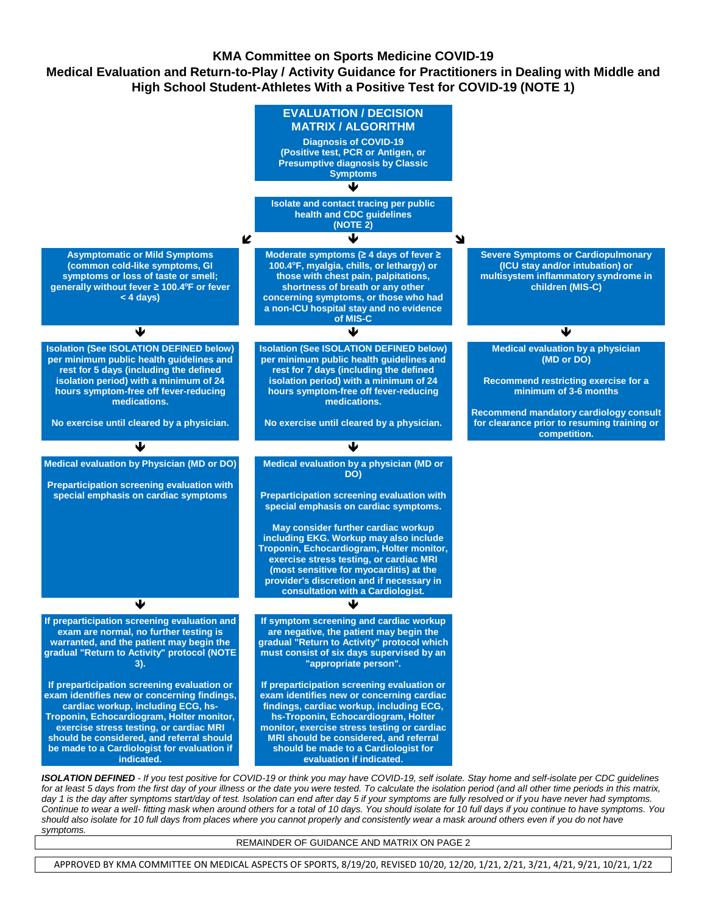### **KMA Committee on Sports Medicine COVID-19**

**Medical Evaluation and Return-to-Play / Activity Guidance for Practitioners in Dealing with Middle and High School Student-Athletes With a Positive Test for COVID-19 (NOTE 1)**



*ISOLATION DEFINED - If you test positive for COVID-19 or think you may have COVID-19, self isolate. Stay home and self-isolate per CDC guidelines*  for at least 5 days from the first day of your illness or the date you were tested. To calculate the isolation period (and all other time periods in this matrix, day 1 is the day after symptoms start/day of test. Isolation can end after day 5 if your symptoms are fully resolved or if you have never had symptoms. *Continue to wear a well- fitting mask when around others for a total of 10 days. You should isolate for 10 full days if you continue to have symptoms. You should also isolate for 10 full days from places where you cannot properly and consistently wear a mask around others even if you do not have symptoms.*

REMAINDER OF GUIDANCE AND MATRIX ON PAGE 2

APPROVED BY KMA COMMITTEE ON MEDICAL ASPECTS OF SPORTS, 8/19/20, REVISED 10/20, 12/20, 1/21, 2/21, 3/21, 4/21, 9/21, 10/21, 1/22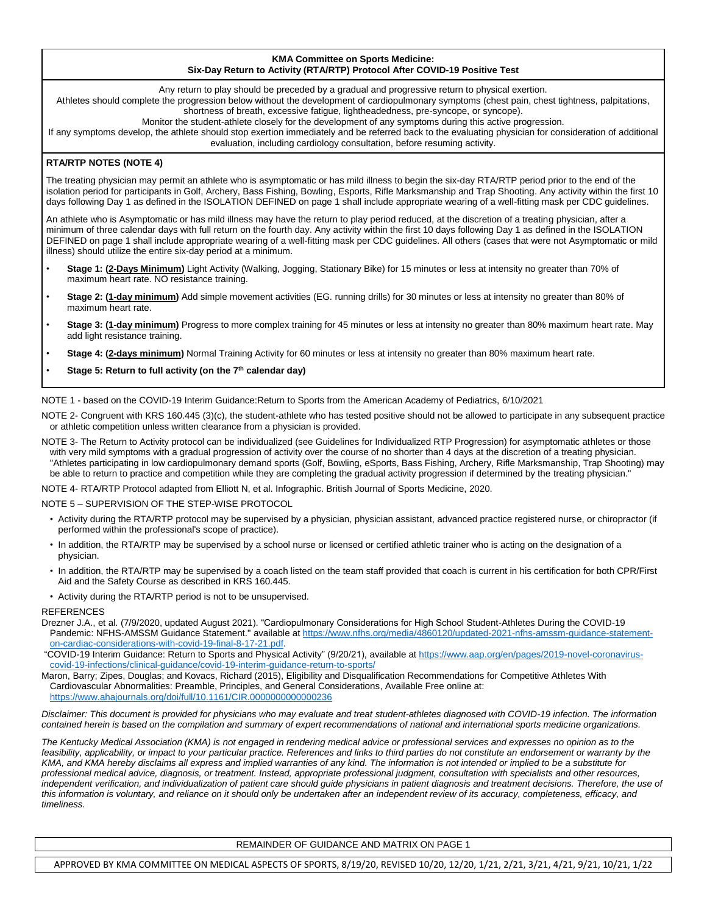#### **KMA Committee on Sports Medicine: Six-Day Return to Activity (RTA/RTP) Protocol After COVID-19 Positive Test**

Any return to play should be preceded by a gradual and progressive return to physical exertion.

Athletes should complete the progression below without the development of cardiopulmonary symptoms (chest pain, chest tightness, palpitations, shortness of breath, excessive fatigue, lightheadedness, pre-syncope, or syncope).

Monitor the student-athlete closely for the development of any symptoms during this active progression.

If any symptoms develop, the athlete should stop exertion immediately and be referred back to the evaluating physician for consideration of additional evaluation, including cardiology consultation, before resuming activity.

#### **RTA/RTP NOTES (NOTE 4)**

The treating physician may permit an athlete who is asymptomatic or has mild illness to begin the six-day RTA/RTP period prior to the end of the isolation period for participants in Golf, Archery, Bass Fishing, Bowling, Esports, Rifle Marksmanship and Trap Shooting. Any activity within the first 10 days following Day 1 as defined in the ISOLATION DEFINED on page 1 shall include appropriate wearing of a well-fitting mask per CDC guidelines.

An athlete who is Asymptomatic or has mild illness may have the return to play period reduced, at the discretion of a treating physician, after a minimum of three calendar days with full return on the fourth day. Any activity within the first 10 days following Day 1 as defined in the ISOLATION DEFINED on page 1 shall include appropriate wearing of a well-fitting mask per CDC guidelines. All others (cases that were not Asymptomatic or mild illness) should utilize the entire six-day period at a minimum.

- **Stage 1: (2-Days Minimum)** Light Activity (Walking, Jogging, Stationary Bike) for 15 minutes or less at intensity no greater than 70% of maximum heart rate. NO resistance training.
- **Stage 2: (1-day minimum)** Add simple movement activities (EG. running drills) for 30 minutes or less at intensity no greater than 80% of maximum heart rate.
- **Stage 3: (1-day minimum)** Progress to more complex training for 45 minutes or less at intensity no greater than 80% maximum heart rate. May add light resistance training.
- **Stage 4: (2-days minimum)** Normal Training Activity for 60 minutes or less at intensity no greater than 80% maximum heart rate.
- **Stage 5: Return to full activity (on the 7th calendar day)**

NOTE 1 - based on the COVID-19 Interim Guidance:Return to Sports from the American Academy of Pediatrics, 6/10/2021

NOTE 2- Congruent with KRS 160.445 (3)(c), the student-athlete who has tested positive should not be allowed to participate in any subsequent practice or athletic competition unless written clearance from a physician is provided.

NOTE 3- The Return to Activity protocol can be individualized (see Guidelines for Individualized RTP Progression) for asymptomatic athletes or those with very mild symptoms with a gradual progression of activity over the course of no shorter than 4 days at the discretion of a treating physician. "Athletes participating in low cardiopulmonary demand sports (Golf, Bowling, eSports, Bass Fishing, Archery, Rifle Marksmanship, Trap Shooting) may be able to return to practice and competition while they are completing the gradual activity progression if determined by the treating physician."

NOTE 4- RTA/RTP Protocol adapted from Elliott N, et al. Infographic. British Journal of Sports Medicine, 2020.

#### NOTE 5 – SUPERVISION OF THE STEP-WISE PROTOCOL

- Activity during the RTA/RTP protocol may be supervised by a physician, physician assistant, advanced practice registered nurse, or chiropractor (if performed within the professional's scope of practice).
- In addition, the RTA/RTP may be supervised by a school nurse or licensed or certified athletic trainer who is acting on the designation of a physician.
- In addition, the RTA/RTP may be supervised by a coach listed on the team staff provided that coach is current in his certification for both CPR/First Aid and the Safety Course as described in KRS 160.445.
- Activity during the RTA/RTP period is not to be unsupervised.

#### **REFERENCES**

- Drezner J.A., et al. (7/9/2020, updated August 2021). "Cardiopulmonary Considerations for High School Student-Athletes During the COVID-19 Pandemic: NFHS-AMSSM Guidance Statement." available a[t https://www.nfhs.org/media/4860120/updated-2021-nfhs-amssm-guidance-statement](https://www.nfhs.org/media/4860120/updated-2021-nfhs-amssm-guidance-statement-on-cardiac-considerations-with-covid-19-final-8-17-21.pdf)[on-cardiac-considerations-with-covid-19-final-8-17-21.pdf.](https://www.nfhs.org/media/4860120/updated-2021-nfhs-amssm-guidance-statement-on-cardiac-considerations-with-covid-19-final-8-17-21.pdf)
- "COVID-19 Interim Guidance: Return to Sports and Physical Activity" (9/20/21), available at [https://www.aap.org/en/pages/2019-novel-coronavirus](https://www.aap.org/en/pages/2019-novel-coronavirus-covid-19-infections/clinical-guidance/covid-19-interim-guidance-return-to-sports/)[covid-19-infections/clinical-guidance/covid-19-interim-guidance-return-to-sports/](https://www.aap.org/en/pages/2019-novel-coronavirus-covid-19-infections/clinical-guidance/covid-19-interim-guidance-return-to-sports/)
- Maron, Barry; Zipes, Douglas; and Kovacs, Richard (2015), Eligibility and Disqualification Recommendations for Competitive Athletes With Cardiovascular Abnormalities: Preamble, Principles, and General Considerations, Available Free online at: <https://www.ahajournals.org/doi/full/10.1161/CIR.0000000000000236>

*Disclaimer: This document is provided for physicians who may evaluate and treat student-athletes diagnosed with COVID-19 infection. The information contained herein is based on the compilation and summary of expert recommendations of national and international sports medicine organizations.*

*The Kentucky Medical Association (KMA) is not engaged in rendering medical advice or professional services and expresses no opinion as to the feasibility, applicability, or impact to your particular practice. References and links to third parties do not constitute an endorsement or warranty by the KMA, and KMA hereby disclaims all express and implied warranties of any kind. The information is not intended or implied to be a substitute for professional medical advice, diagnosis, or treatment. Instead, appropriate professional judgment, consultation with specialists and other resources,*  independent verification, and individualization of patient care should guide physicians in patient diagnosis and treatment decisions. Therefore, the use of *this information is voluntary, and reliance on it should only be undertaken after an independent review of its accuracy, completeness, efficacy, and timeliness.*

#### REMAINDER OF GUIDANCE AND MATRIX ON PAGE 1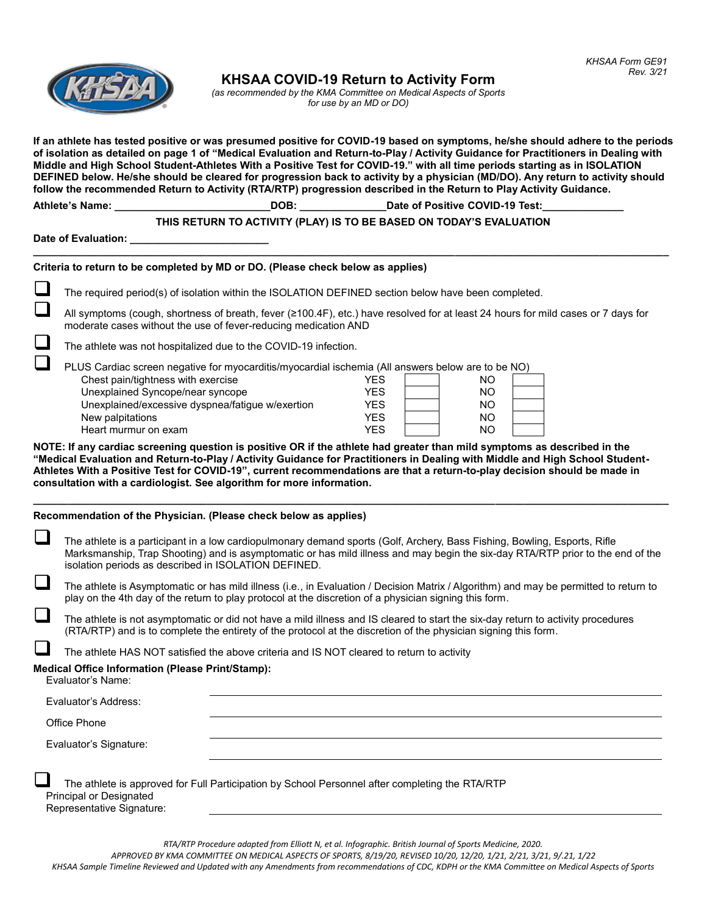

**KHSAA COVID-19 Return to Activity Form**

*(as recommended by the KMA Committee on Medical Aspects of Sports for use by an MD or DO)*

**If an athlete has tested positive or was presumed positive for COVID-19 based on symptoms, he/she should adhere to the periods of isolation as detailed on page 1 of "Medical Evaluation and Return-to-Play / Activity Guidance for Practitioners in Dealing with Middle and High School Student-Athletes With a Positive Test for COVID-19." with all time periods starting as in ISOLATION DEFINED below. He/she should be cleared for progression back to activity by a physician (MD/DO). Any return to activity should follow the recommended Return to Activity (RTA/RTP) progression described in the Return to Play Activity Guidance.**

|  | <b>Athlete's Name:</b> |  |
|--|------------------------|--|
|  |                        |  |

# **THIS RETURN TO ACTIVITY (PLAY) IS TO BE BASED ON TODAY'S EVALUATION**

**\_\_\_\_\_\_\_\_\_\_\_\_\_\_\_\_\_\_\_\_\_\_\_\_\_\_\_\_\_\_\_\_\_\_\_\_\_\_\_\_\_\_\_\_\_\_\_\_\_\_\_\_\_\_\_\_\_\_\_\_\_\_\_\_\_\_\_\_\_\_\_\_\_\_\_\_\_\_\_\_\_\_\_\_\_\_\_\_\_\_\_\_\_\_\_\_\_\_\_\_\_\_\_\_\_\_\_\_\_\_**

**Ate of Positive COVID-19 Test:** 

Date of Evaluation:

# **Criteria to return to be completed by MD or DO. (Please check below as applies)**

The required period(s) of isolation within the ISOLATION DEFINED section below have been completed.

❑ All symptoms (cough, shortness of breath, fever (≥100.4F), etc.) have resolved for at least 24 hours for mild cases or <sup>7</sup> days for moderate cases without the use of fever-reducing medication AND

The athlete was not hospitalized due to the COVID-19 infection.

| PLUS Cardiac screen negative for myocarditis/myocardial ischemia (All answers below are to be NO) |            |  |     |  |  |
|---------------------------------------------------------------------------------------------------|------------|--|-----|--|--|
| Chest pain/tightness with exercise                                                                | YFS        |  | NO. |  |  |
| Unexplained Syncope/near syncope                                                                  | YFS        |  | NO  |  |  |
| Unexplained/excessive dyspnea/fatigue w/exertion                                                  | <b>YFS</b> |  | NO  |  |  |
| New palpitations                                                                                  | <b>YES</b> |  | NO  |  |  |
| Heart murmur on exam                                                                              | YFS        |  | NO  |  |  |

**NOTE: If any cardiac screening question is positive OR if the athlete had greater than mild symptoms as described in the "Medical Evaluation and Return-to-Play / Activity Guidance for Practitioners in Dealing with Middle and High School Student-Athletes With a Positive Test for COVID-19", current recommendations are that a return-to-play decision should be made in consultation with a cardiologist. See algorithm for more information.**

**\_\_\_\_\_\_\_\_\_\_\_\_\_\_\_\_\_\_\_\_\_\_\_\_\_\_\_\_\_\_\_\_\_\_\_\_\_\_\_\_\_\_\_\_\_\_\_\_\_\_\_\_\_\_\_\_\_\_\_\_\_\_\_\_\_\_\_\_\_\_\_\_\_\_\_\_\_\_\_\_\_\_\_\_\_\_\_\_\_\_\_\_\_\_\_\_\_\_\_\_\_\_\_\_\_\_\_\_\_\_**

#### **Recommendation of the Physician. (Please check below as applies)**

| The athlete is a participant in a low cardiopulmonary demand sports (Golf, Archery, Bass Fishing, Bowling, Esports, Rifle<br>Marksmanship, Trap Shooting) and is asymptomatic or has mild illness and may begin the six-day RTA/RTP prior to the end of the<br>isolation periods as described in ISOLATION DEFINED. |  |  |  |  |
|---------------------------------------------------------------------------------------------------------------------------------------------------------------------------------------------------------------------------------------------------------------------------------------------------------------------|--|--|--|--|
| The athlete is Asymptomatic or has mild illness (i.e., in Evaluation / Decision Matrix / Algorithm) and may be permitted to return to<br>play on the 4th day of the return to play protocol at the discretion of a physician signing this form.                                                                     |  |  |  |  |
| The athlete is not asymptomatic or did not have a mild illness and IS cleared to start the six-day return to activity procedures<br>(RTA/RTP) and is to complete the entirety of the protocol at the discretion of the physician signing this form.                                                                 |  |  |  |  |
| The athlete HAS NOT satisfied the above criteria and IS NOT cleared to return to activity                                                                                                                                                                                                                           |  |  |  |  |
| <b>Medical Office Information (Please Print/Stamp):</b><br>Evaluator's Name:                                                                                                                                                                                                                                        |  |  |  |  |
| Evaluator's Address:                                                                                                                                                                                                                                                                                                |  |  |  |  |
| Office Phone                                                                                                                                                                                                                                                                                                        |  |  |  |  |
| Evaluator's Signature:                                                                                                                                                                                                                                                                                              |  |  |  |  |
| The athlete is approved for Full Participation by School Personnel after completing the RTA/RTP<br><b>Principal or Designated</b><br>Representative Signature:                                                                                                                                                      |  |  |  |  |

*RTA/RTP Procedure adapted from Elliott N, et al. Infographic. British Journal of Sports Medicine, 2020.*